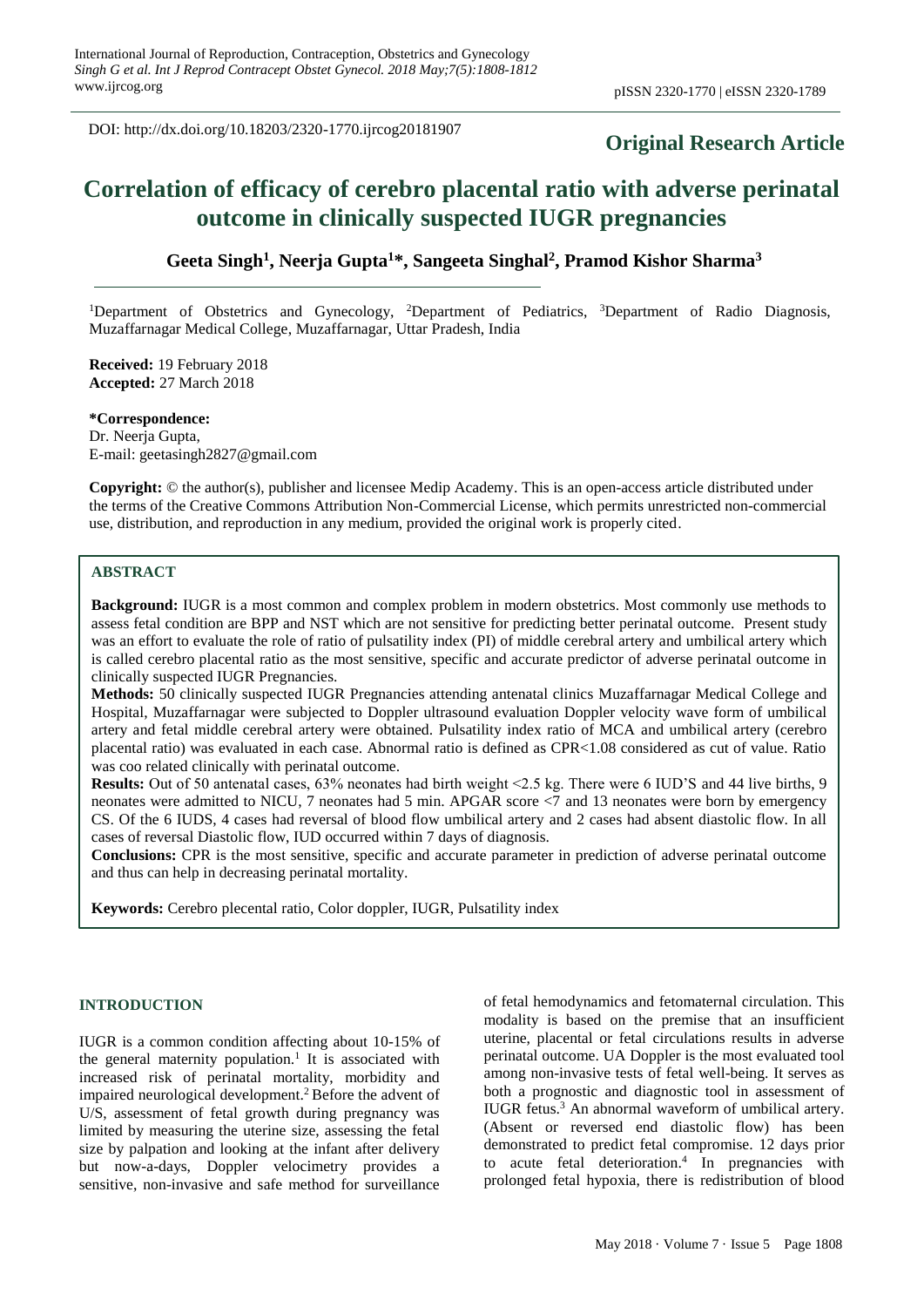DOI: http://dx.doi.org/10.18203/2320-1770.ijrcog20181907

## **Original Research Article**

# **Correlation of efficacy of cerebro placental ratio with adverse perinatal outcome in clinically suspected IUGR pregnancies**

**Geeta Singh<sup>1</sup> , Neerja Gupta<sup>1</sup>\*, Sangeeta Singhal<sup>2</sup> , Pramod Kishor Sharma<sup>3</sup>** 

<sup>1</sup>Department of Obstetrics and Gynecology, <sup>2</sup>Department of Pediatrics, <sup>3</sup>Department of Radio Diagnosis, Muzaffarnagar Medical College, Muzaffarnagar, Uttar Pradesh, India

**Received:** 19 February 2018 **Accepted:** 27 March 2018

**\*Correspondence:** Dr. Neeria Gupta. E-mail: geetasingh2827@gmail.com

**Copyright:** © the author(s), publisher and licensee Medip Academy. This is an open-access article distributed under the terms of the Creative Commons Attribution Non-Commercial License, which permits unrestricted non-commercial use, distribution, and reproduction in any medium, provided the original work is properly cited.

## **ABSTRACT**

**Background:** IUGR is a most common and complex problem in modern obstetrics. Most commonly use methods to assess fetal condition are BPP and NST which are not sensitive for predicting better perinatal outcome. Present study was an effort to evaluate the role of ratio of pulsatility index (PI) of middle cerebral artery and umbilical artery which is called cerebro placental ratio as the most sensitive, specific and accurate predictor of adverse perinatal outcome in clinically suspected IUGR Pregnancies.

**Methods:** 50 clinically suspected IUGR Pregnancies attending antenatal clinics Muzaffarnagar Medical College and Hospital, Muzaffarnagar were subjected to Doppler ultrasound evaluation Doppler velocity wave form of umbilical artery and fetal middle cerebral artery were obtained. Pulsatility index ratio of MCA and umbilical artery (cerebro placental ratio) was evaluated in each case. Abnormal ratio is defined as CPR<1.08 considered as cut of value. Ratio was coo related clinically with perinatal outcome.

**Results:** Out of 50 antenatal cases, 63% neonates had birth weight <2.5 kg. There were 6 IUD'S and 44 live births, 9 neonates were admitted to NICU, 7 neonates had 5 min. APGAR score <7 and 13 neonates were born by emergency CS. Of the 6 IUDS, 4 cases had reversal of blood flow umbilical artery and 2 cases had absent diastolic flow. In all cases of reversal Diastolic flow, IUD occurred within 7 days of diagnosis.

**Conclusions:** CPR is the most sensitive, specific and accurate parameter in prediction of adverse perinatal outcome and thus can help in decreasing perinatal mortality.

**Keywords:** Cerebro plecental ratio, Color doppler, IUGR, Pulsatility index

#### **INTRODUCTION**

IUGR is a common condition affecting about 10-15% of the general maternity population. 1 It is associated with increased risk of perinatal mortality, morbidity and impaired neurological development. <sup>2</sup> Before the advent of U/S, assessment of fetal growth during pregnancy was limited by measuring the uterine size, assessing the fetal size by palpation and looking at the infant after delivery but now-a-days, Doppler velocimetry provides a sensitive, non-invasive and safe method for surveillance of fetal hemodynamics and fetomaternal circulation. This modality is based on the premise that an insufficient uterine, placental or fetal circulations results in adverse perinatal outcome. UA Doppler is the most evaluated tool among non-invasive tests of fetal well-being. It serves as both a prognostic and diagnostic tool in assessment of IUGR fetus. <sup>3</sup> An abnormal waveform of umbilical artery. (Absent or reversed end diastolic flow) has been demonstrated to predict fetal compromise. 12 days prior to acute fetal deterioration. 4 In pregnancies with prolonged fetal hypoxia, there is redistribution of blood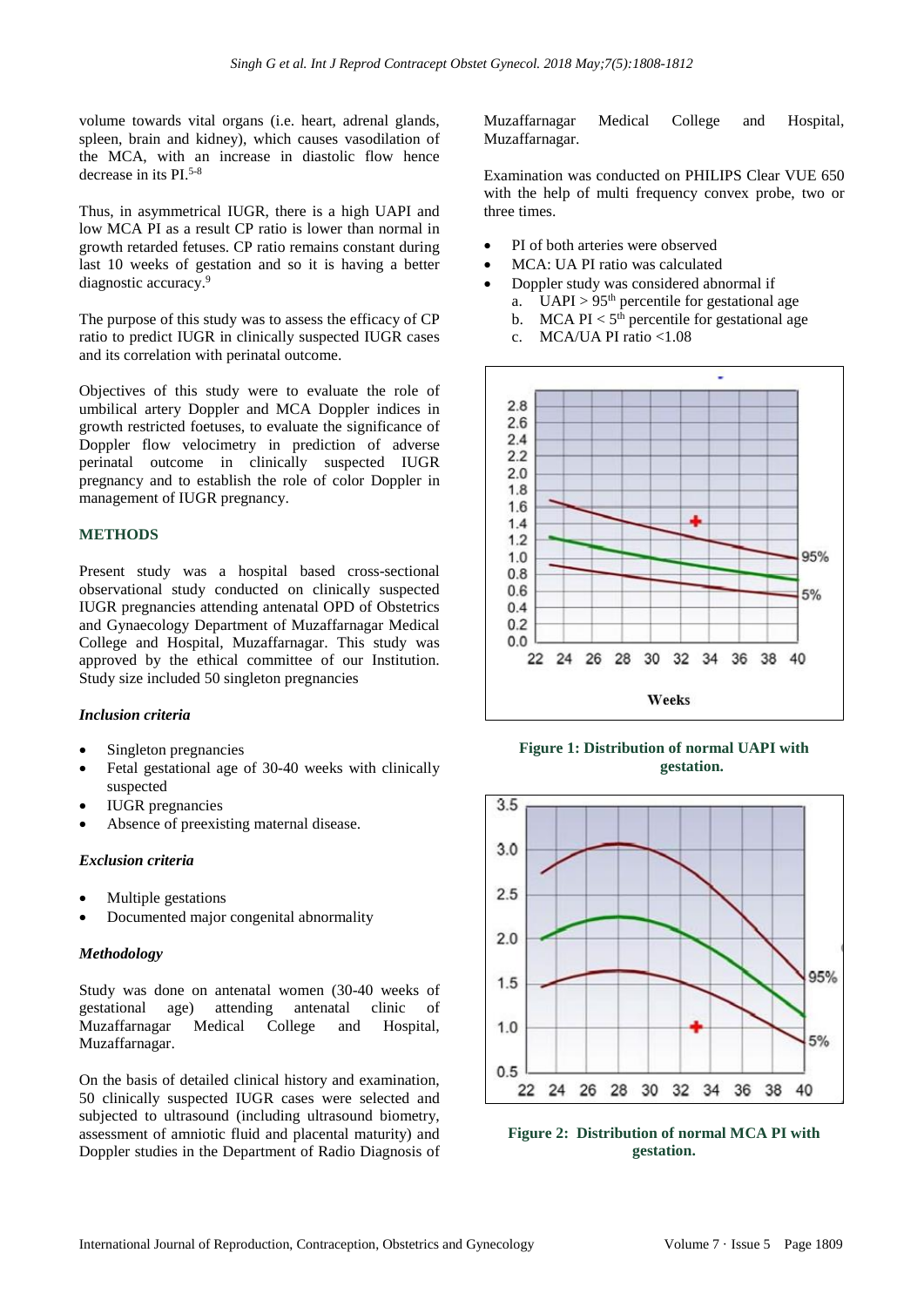volume towards vital organs (i.e. heart, adrenal glands, spleen, brain and kidney), which causes vasodilation of the MCA, with an increase in diastolic flow hence decrease in its PI.5-8

Thus, in asymmetrical IUGR, there is a high UAPI and low MCA PI as a result CP ratio is lower than normal in growth retarded fetuses. CP ratio remains constant during last 10 weeks of gestation and so it is having a better diagnostic accuracy.<sup>9</sup>

The purpose of this study was to assess the efficacy of CP ratio to predict IUGR in clinically suspected IUGR cases and its correlation with perinatal outcome.

Objectives of this study were to evaluate the role of umbilical artery Doppler and MCA Doppler indices in growth restricted foetuses, to evaluate the significance of Doppler flow velocimetry in prediction of adverse perinatal outcome in clinically suspected IUGR pregnancy and to establish the role of color Doppler in management of IUGR pregnancy.

## **METHODS**

Present study was a hospital based cross-sectional observational study conducted on clinically suspected IUGR pregnancies attending antenatal OPD of Obstetrics and Gynaecology Department of Muzaffarnagar Medical College and Hospital, Muzaffarnagar. This study was approved by the ethical committee of our Institution. Study size included 50 singleton pregnancies

#### *Inclusion criteria*

- Singleton pregnancies
- Fetal gestational age of 30-40 weeks with clinically suspected
- IUGR pregnancies
- Absence of preexisting maternal disease.

#### *Exclusion criteria*

- Multiple gestations
- Documented major congenital abnormality

#### *Methodology*

Study was done on antenatal women (30-40 weeks of gestational age) attending antenatal clinic of Muzaffarnagar Medical College and Hospital, Muzaffarnagar.

On the basis of detailed clinical history and examination, 50 clinically suspected IUGR cases were selected and subjected to ultrasound (including ultrasound biometry, assessment of amniotic fluid and placental maturity) and Doppler studies in the Department of Radio Diagnosis of Muzaffarnagar Medical College and Hospital, Muzaffarnagar.

Examination was conducted on PHILIPS Clear VUE 650 with the help of multi frequency convex probe, two or three times.

- PI of both arteries were observed
- MCA: UA PI ratio was calculated
- Doppler study was considered abnormal if
	- a. UAPI >  $95<sup>th</sup>$  percentile for gestational age
	- b. MCA PI  $<$  5<sup>th</sup> percentile for gestational age
	- c. MCA/UA PI ratio <1.08



**Figure 1: Distribution of normal UAPI with gestation.**



**Figure 2: Distribution of normal MCA PI with gestation.**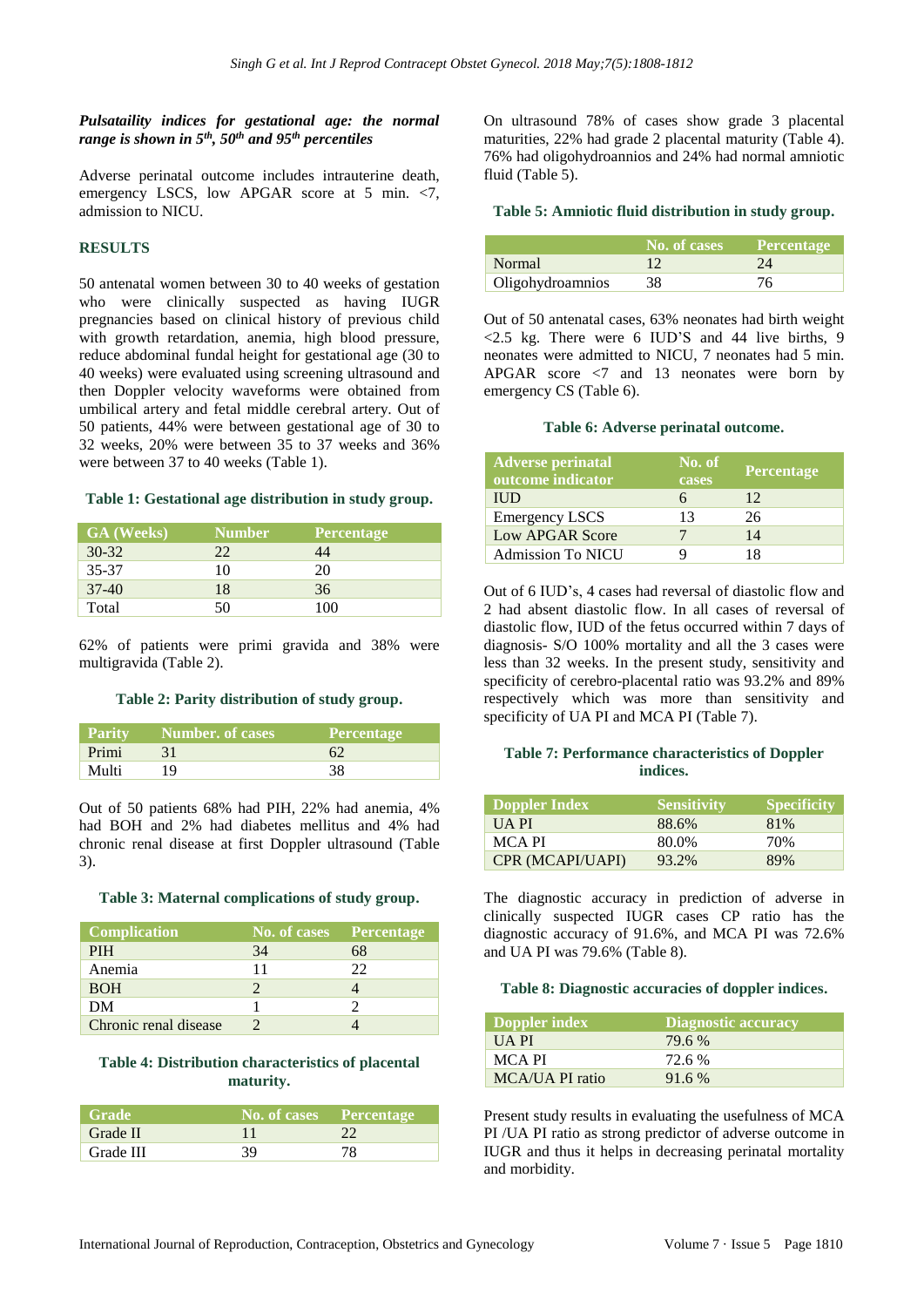## *Pulsataility indices for gestational age: the normal range is shown in 5th, 50th and 95th percentiles*

Adverse perinatal outcome includes intrauterine death, emergency LSCS, low APGAR score at 5 min. <7, admission to NICU.

## **RESULTS**

50 antenatal women between 30 to 40 weeks of gestation who were clinically suspected as having IUGR pregnancies based on clinical history of previous child with growth retardation, anemia, high blood pressure, reduce abdominal fundal height for gestational age (30 to 40 weeks) were evaluated using screening ultrasound and then Doppler velocity waveforms were obtained from umbilical artery and fetal middle cerebral artery. Out of 50 patients, 44% were between gestational age of 30 to 32 weeks, 20% were between 35 to 37 weeks and 36% were between 37 to 40 weeks (Table 1).

## **Table 1: Gestational age distribution in study group.**

| <b>GA</b> (Weeks) | <b>Number</b> | Percentage |
|-------------------|---------------|------------|
| $30 - 32$         | 22            | 44         |
| 35-37             | 10            | 20         |
| $37-40$           | 18            | 36         |
| Total             | 50            | 100        |

62% of patients were primi gravida and 38% were multigravida (Table 2).

## **Table 2: Parity distribution of study group.**

| <b>Parity</b> | Number. of cases | <b>Percentage</b> |
|---------------|------------------|-------------------|
| Primi         |                  |                   |
| Multi         |                  | 38                |

Out of 50 patients 68% had PIH, 22% had anemia, 4% had BOH and 2% had diabetes mellitus and 4% had chronic renal disease at first Doppler ultrasound (Table 3).

#### **Table 3: Maternal complications of study group.**

| <b>Complication</b>   | No. of cases Percentage |    |
|-----------------------|-------------------------|----|
| <b>PIH</b>            | 34                      | 68 |
| Anemia                | 11                      | 22 |
| <b>BOH</b>            |                         |    |
| DM                    |                         |    |
| Chronic renal disease |                         |    |

## **Table 4: Distribution characteristics of placental maturity.**

| <b>Grade</b> | No. of cases Percentage |    |
|--------------|-------------------------|----|
| Grade II     |                         |    |
| Grade III    | 39                      | 78 |

On ultrasound 78% of cases show grade 3 placental maturities, 22% had grade 2 placental maturity (Table 4). 76% had oligohydroannios and 24% had normal amniotic fluid (Table 5).

#### **Table 5: Amniotic fluid distribution in study group.**

|                  | No. of cases Percentage |     |
|------------------|-------------------------|-----|
| Normal           |                         | 24  |
| Oligohydroamnios | 38                      | 76. |

Out of 50 antenatal cases, 63% neonates had birth weight  $\langle 2.5 \text{ kg. There were } 6 \text{ IUD'S and } 44 \text{ live births, } 9$ neonates were admitted to NICU, 7 neonates had 5 min. APGAR score <7 and 13 neonates were born by emergency CS (Table 6).

#### **Table 6: Adverse perinatal outcome.**

| <b>Adverse perinatal</b><br>outcome indicator | No. of<br>cases | <b>Percentage</b> |
|-----------------------------------------------|-----------------|-------------------|
| <b>IUD</b>                                    |                 | 12                |
| <b>Emergency LSCS</b>                         | 13              | 26                |
| Low APGAR Score                               |                 | 14                |
| <b>Admission To NICU</b>                      |                 | 18                |

Out of 6 IUD's, 4 cases had reversal of diastolic flow and 2 had absent diastolic flow. In all cases of reversal of diastolic flow, IUD of the fetus occurred within 7 days of diagnosis- S/O 100% mortality and all the 3 cases were less than 32 weeks. In the present study, sensitivity and specificity of cerebro-placental ratio was 93.2% and 89% respectively which was more than sensitivity and specificity of UA PI and MCA PI (Table 7).

## **Table 7: Performance characteristics of Doppler indices.**

| Doppler Index    | Sensitivity | <b>Specificity</b> |
|------------------|-------------|--------------------|
| UA PI            | 88.6%       | 81%                |
| MCA PI           | 80.0%       | 70%                |
| CPR (MCAPI/UAPI) | 93.2%       | 89%                |

The diagnostic accuracy in prediction of adverse in clinically suspected IUGR cases CP ratio has the diagnostic accuracy of 91.6%, and MCA PI was 72.6% and UA PI was 79.6% (Table 8).

#### **Table 8: Diagnostic accuracies of doppler indices.**

| Doppler index   | Diagnostic accuracy |
|-----------------|---------------------|
| <b>UAPI</b>     | 79.6 %              |
| MCA PI          | 72.6 %              |
| MCA/UA PI ratio | 91.6 %              |

Present study results in evaluating the usefulness of MCA PI /UA PI ratio as strong predictor of adverse outcome in IUGR and thus it helps in decreasing perinatal mortality and morbidity.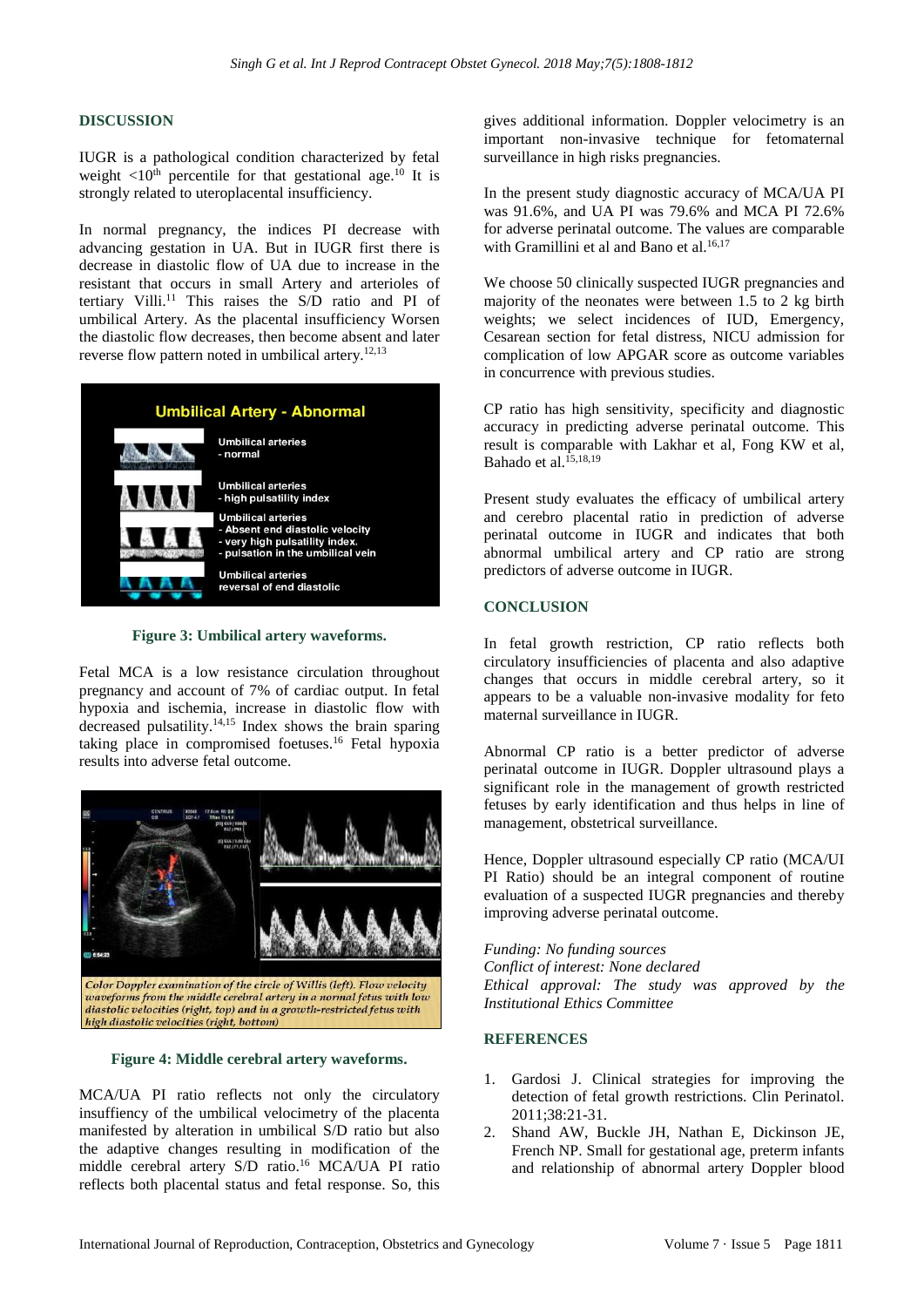## **DISCUSSION**

IUGR is a pathological condition characterized by fetal weight  $\langle 10^{th}$  percentile for that gestational age.<sup>10</sup> It is strongly related to uteroplacental insufficiency.

In normal pregnancy, the indices PI decrease with advancing gestation in UA. But in IUGR first there is decrease in diastolic flow of UA due to increase in the resistant that occurs in small Artery and arterioles of tertiary Villi. <sup>11</sup> This raises the S/D ratio and PI of umbilical Artery. As the placental insufficiency Worsen the diastolic flow decreases, then become absent and later reverse flow pattern noted in umbilical artery.<sup>12,13</sup>



**Figure 3: Umbilical artery waveforms.**

Fetal MCA is a low resistance circulation throughout pregnancy and account of 7% of cardiac output. In fetal hypoxia and ischemia, increase in diastolic flow with decreased pulsatility.14,15 Index shows the brain sparing taking place in compromised foetuses.<sup>16</sup> Fetal hypoxia results into adverse fetal outcome.



**Figure 4: Middle cerebral artery waveforms.**

MCA/UA PI ratio reflects not only the circulatory insuffiency of the umbilical velocimetry of the placenta manifested by alteration in umbilical S/D ratio but also the adaptive changes resulting in modification of the middle cerebral artery S/D ratio. <sup>16</sup> MCA/UA PI ratio reflects both placental status and fetal response. So, this gives additional information. Doppler velocimetry is an important non-invasive technique for fetomaternal surveillance in high risks pregnancies.

In the present study diagnostic accuracy of MCA/UA PI was 91.6%, and UA PI was 79.6% and MCA PI 72.6% for adverse perinatal outcome. The values are comparable with Gramillini et al and Bano et al.<sup>16,17</sup>

We choose 50 clinically suspected IUGR pregnancies and majority of the neonates were between 1.5 to 2 kg birth weights; we select incidences of IUD, Emergency, Cesarean section for fetal distress, NICU admission for complication of low APGAR score as outcome variables in concurrence with previous studies.

CP ratio has high sensitivity, specificity and diagnostic accuracy in predicting adverse perinatal outcome. This result is comparable with Lakhar et al, Fong KW et al, Bahado et al.15,18,19

Present study evaluates the efficacy of umbilical artery and cerebro placental ratio in prediction of adverse perinatal outcome in IUGR and indicates that both abnormal umbilical artery and CP ratio are strong predictors of adverse outcome in IUGR.

## **CONCLUSION**

In fetal growth restriction, CP ratio reflects both circulatory insufficiencies of placenta and also adaptive changes that occurs in middle cerebral artery, so it appears to be a valuable non-invasive modality for feto maternal surveillance in IUGR.

Abnormal CP ratio is a better predictor of adverse perinatal outcome in IUGR. Doppler ultrasound plays a significant role in the management of growth restricted fetuses by early identification and thus helps in line of management, obstetrical surveillance.

Hence, Doppler ultrasound especially CP ratio (MCA/UI PI Ratio) should be an integral component of routine evaluation of a suspected IUGR pregnancies and thereby improving adverse perinatal outcome.

*Funding: No funding sources Conflict of interest: None declared Ethical approval: The study was approved by the Institutional Ethics Committee*

#### **REFERENCES**

- 1. Gardosi J. Clinical strategies for improving the detection of fetal growth restrictions. Clin Perinatol. 2011;38:21-31.
- 2. Shand AW, Buckle JH, Nathan E, Dickinson JE, French NP. Small for gestational age, preterm infants and relationship of abnormal artery Doppler blood